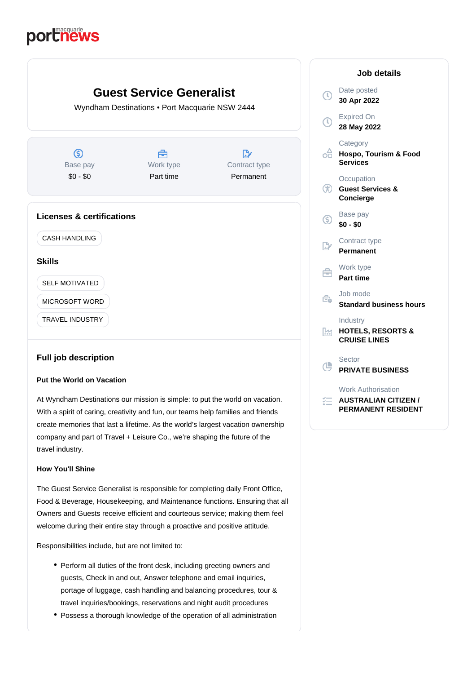# portnews



# **Full job description**

## **Put the World on Vacation**

At Wyndham Destinations our mission is simple: to put the world on vacation. With a spirit of caring, creativity and fun, our teams help families and friends create memories that last a lifetime. As the world's largest vacation ownership company and part of Travel + Leisure Co., we're shaping the future of the travel industry.

# **How You'll Shine**

The Guest Service Generalist is responsible for completing daily Front Office, Food & Beverage, Housekeeping, and Maintenance functions. Ensuring that all Owners and Guests receive efficient and courteous service; making them feel welcome during their entire stay through a proactive and positive attitude.

Responsibilities include, but are not limited to:

- Perform all duties of the front desk, including greeting owners and guests, Check in and out, Answer telephone and email inquiries, portage of luggage, cash handling and balancing procedures, tour & travel inquiries/bookings, reservations and night audit procedures
- Possess a thorough knowledge of the operation of all administration

| Job details           |                                                                                       |
|-----------------------|---------------------------------------------------------------------------------------|
| $_{\odot}$            | Date posted<br>30 Apr 2022                                                            |
| $\overline{\text{O}}$ | <b>Expired On</b><br>28 May 2022                                                      |
| oA                    | Category<br>Hospo, Tourism & Food<br><b>Services</b>                                  |
| GD                    | Occupation<br><b>Guest Services &amp;</b><br>Concierge                                |
| ⑤                     | Base pay<br>$$0 - $0$                                                                 |
| $\mathbb{R}^n$        | Contract type<br><b>Permanent</b>                                                     |
| ≘                     | Work type<br><b>Part time</b>                                                         |
| Êò                    | Job mode<br><b>Standard business hours</b>                                            |
| Pм                    | Industry<br><b>HOTELS, RESORTS &amp;</b><br><b>CRUISE LINES</b>                       |
| Œ                     | Sector<br><b>PRIVATE BUSINESS</b>                                                     |
| ў=                    | <b>Work Authorisation</b><br><b>AUSTRALIAN CITIZEN /</b><br><b>PERMANENT RESIDENT</b> |